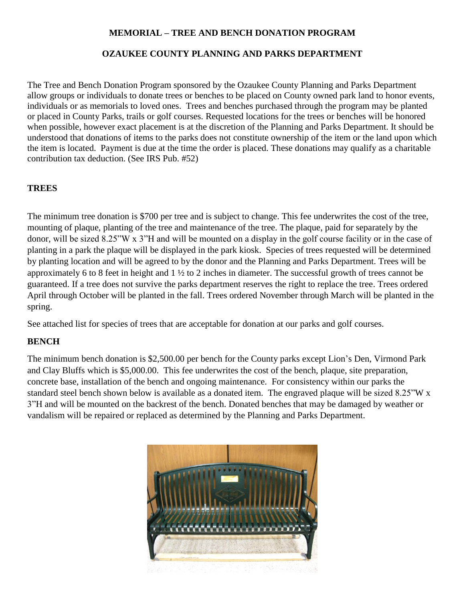### **MEMORIAL – TREE AND BENCH DONATION PROGRAM**

# **OZAUKEE COUNTY PLANNING AND PARKS DEPARTMENT**

The Tree and Bench Donation Program sponsored by the Ozaukee County Planning and Parks Department allow groups or individuals to donate trees or benches to be placed on County owned park land to honor events, individuals or as memorials to loved ones. Trees and benches purchased through the program may be planted or placed in County Parks, trails or golf courses. Requested locations for the trees or benches will be honored when possible, however exact placement is at the discretion of the Planning and Parks Department. It should be understood that donations of items to the parks does not constitute ownership of the item or the land upon which the item is located. Payment is due at the time the order is placed. These donations may qualify as a charitable contribution tax deduction. (See IRS Pub. #52)

# **TREES**

The minimum tree donation is \$700 per tree and is subject to change. This fee underwrites the cost of the tree, mounting of plaque, planting of the tree and maintenance of the tree. The plaque, paid for separately by the donor, will be sized 8.25"W x 3"H and will be mounted on a display in the golf course facility or in the case of planting in a park the plaque will be displayed in the park kiosk. Species of trees requested will be determined by planting location and will be agreed to by the donor and the Planning and Parks Department. Trees will be approximately 6 to 8 feet in height and 1 ½ to 2 inches in diameter. The successful growth of trees cannot be guaranteed. If a tree does not survive the parks department reserves the right to replace the tree. Trees ordered April through October will be planted in the fall. Trees ordered November through March will be planted in the spring.

See attached list for species of trees that are acceptable for donation at our parks and golf courses.

#### **BENCH**

The minimum bench donation is \$2,500.00 per bench for the County parks except Lion's Den, Virmond Park and Clay Bluffs which is \$5,000.00. This fee underwrites the cost of the bench, plaque, site preparation, concrete base, installation of the bench and ongoing maintenance. For consistency within our parks the standard steel bench shown below is available as a donated item. The engraved plaque will be sized 8.25"W x 3"H and will be mounted on the backrest of the bench. Donated benches that may be damaged by weather or vandalism will be repaired or replaced as determined by the Planning and Parks Department.

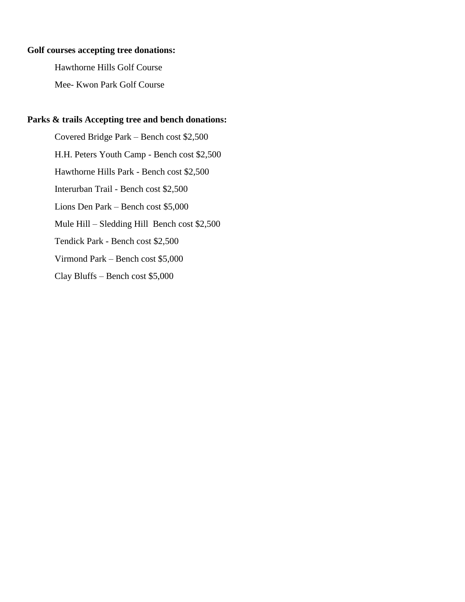#### **Golf courses accepting tree donations:**

Hawthorne Hills Golf Course

Mee- Kwon Park Golf Course

### **Parks & trails Accepting tree and bench donations:**

Covered Bridge Park – Bench cost \$2,500 H.H. Peters Youth Camp - Bench cost \$2,500 Hawthorne Hills Park - Bench cost \$2,500 Interurban Trail - Bench cost \$2,500 Lions Den Park – Bench cost \$5,000 Mule Hill – Sledding Hill Bench cost \$2,500 Tendick Park - Bench cost \$2,500 Virmond Park – Bench cost \$5,000 Clay Bluffs – Bench cost \$5,000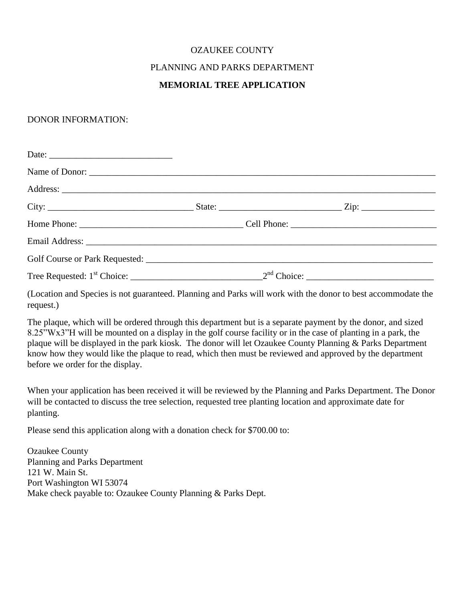# OZAUKEE COUNTY PLANNING AND PARKS DEPARTMENT **MEMORIAL TREE APPLICATION**

#### DONOR INFORMATION:

(Location and Species is not guaranteed. Planning and Parks will work with the donor to best accommodate the request.)

The plaque, which will be ordered through this department but is a separate payment by the donor, and sized 8.25"Wx3"H will be mounted on a display in the golf course facility or in the case of planting in a park, the plaque will be displayed in the park kiosk. The donor will let Ozaukee County Planning & Parks Department know how they would like the plaque to read, which then must be reviewed and approved by the department before we order for the display.

When your application has been received it will be reviewed by the Planning and Parks Department. The Donor will be contacted to discuss the tree selection, requested tree planting location and approximate date for planting.

Please send this application along with a donation check for \$700.00 to:

Ozaukee County Planning and Parks Department 121 W. Main St. Port Washington WI 53074 Make check payable to: Ozaukee County Planning & Parks Dept.